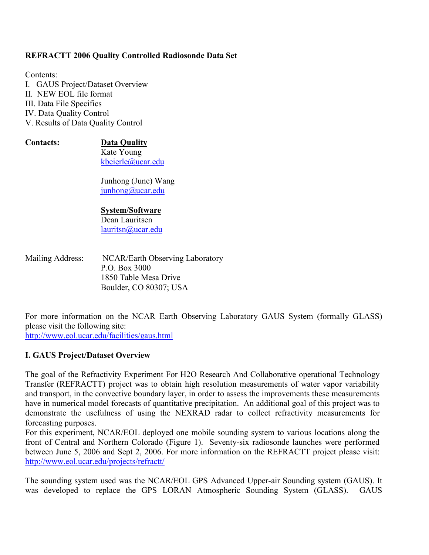### **REFRACTT 2006 Quality Controlled Radiosonde Data Set**

Contents: I. GAUS Project/Dataset Overview II. NEW EOL file format III. Data File Specifics IV. Data Quality Control V. Results of Data Quality Control

#### Contacts:

**Data Quality** Kate Young kbeierle@ucar.edu

Junhong (June) Wang  $\mu$ hong@ucar.edu

#### **System/Software**

Dean Lauritsen  $lauritsn@ucar.edu$ 

Mailing Address: NCAR/Earth Observing Laboratory P O Box 3000 1850 Table Mesa Drive Boulder, CO 80307; USA

For more information on the NCAR Earth Observing Laboratory GAUS System (formally GLASS) please visit the following site: http://www.eol.ucar.edu/facilities/gaus.html

### **I. GAUS Project/Dataset Overview**

The goal of the Refractivity Experiment For H2O Research And Collaborative operational Technology Transfer (REFRACTT) project was to obtain high resolution measurements of water vapor variability and transport, in the convective boundary layer, in order to assess the improvements these measurements have in numerical model forecasts of quantitative precipitation. An additional goal of this project was to demonstrate the usefulness of using the NEXRAD radar to collect refractivity measurements for forecasting purposes.

For this experiment, NCAR/EOL deployed one mobile sounding system to various locations along the front of Central and Northern Colorado (Figure 1). Seventy-six radiosonde launches were performed between June 5, 2006 and Sept 2, 2006. For more information on the REFRACTT project please visit: http://www.eol.ucar.edu/projects/refractt/

The sounding system used was the NCAR/EOL GPS Advanced Upper-air Sounding system (GAUS). It was developed to replace the GPS LORAN Atmospheric Sounding System (GLASS). GAUS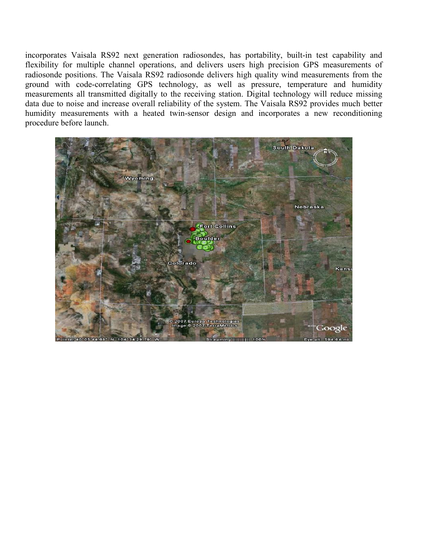incorporates Vaisala RS92 next generation radiosondes, has portability, built-in test capability and flexibility for multiple channel operations, and delivers users high precision GPS measurements of radiosonde positions. The Vaisala RS92 radiosonde delivers high quality wind measurements from the ground with code-correlating GPS technology, as well as pressure, temperature and humidity measurements all transmitted digitally to the receiving station. Digital technology will reduce missing data due to noise and increase overall reliability of the system. The Vaisala RS92 provides much better humidity measurements with a heated twin-sensor design and incorporates a new reconditioning procedure before launch.

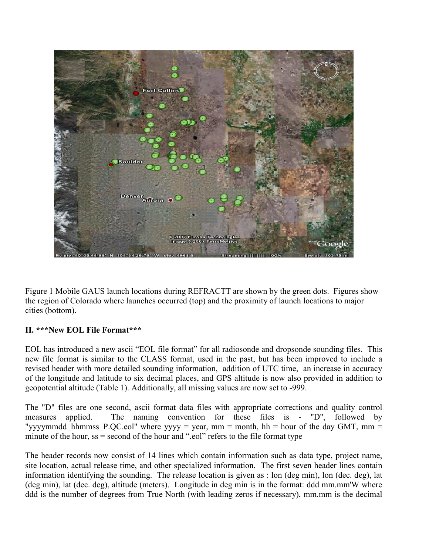

Figure 1 Mobile GAUS launch locations during REFRACTT are shown by the green dots. Figures show the region of Colorado where launches occurred (top) and the proximity of launch locations to major cities (bottom).

# II. \*\*\* New EOL File Format\*\*\*

EOL has introduced a new ascii "EOL file format" for all radiosonde and dropsonde sounding files. This new file format is similar to the CLASS format, used in the past, but has been improved to include a revised header with more detailed sounding information, addition of UTC time, an increase in accuracy of the longitude and latitude to six decimal places, and GPS altitude is now also provided in addition to geopotential altitude (Table 1). Additionally, all missing values are now set to -999.

The "D" files are one second, ascii format data files with appropriate corrections and quality control applied. The naming convention for these files is - "D", followed by measures "yyyymmdd hhmmss P.QC.eol" where yyyy = year, mm = month, hh = hour of the day GMT, mm = minute of the hour,  $ss =$  second of the hour and ".eol" refers to the file format type

The header records now consist of 14 lines which contain information such as data type, project name, site location, actual release time, and other specialized information. The first seven header lines contain information identifying the sounding. The release location is given as : lon (deg min), lon (dec. deg), lat (deg min), lat (dec. deg), altitude (meters). Longitude in deg min is in the format: ddd mm.mm'W where ddd is the number of degrees from True North (with leading zeros if necessary), mm.mm is the decimal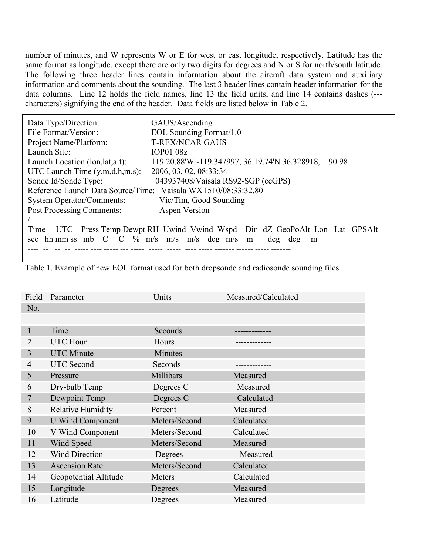number of minutes, and W represents W or E for west or east longitude, respectively. Latitude has the same format as longitude, except there are only two digits for degrees and N or S for north/south latitude. The following three header lines contain information about the aircraft data system and auxiliary information and comments about the sounding. The last 3 header lines contain header information for the data columns. Line 12 holds the field names, line 13 the field units, and line 14 contains dashes (--characters) signifying the end of the header. Data fields are listed below in Table 2.

| Data Type/Direction:                                                            | GAUS/Ascending                                          |  |  |  |
|---------------------------------------------------------------------------------|---------------------------------------------------------|--|--|--|
| File Format/Version:                                                            | EOL Sounding Format/1.0                                 |  |  |  |
| Project Name/Platform:                                                          | <b>T-REX/NCAR GAUS</b>                                  |  |  |  |
| Launch Site:                                                                    | IOP0108z                                                |  |  |  |
| Launch Location (lon, lat, alt):                                                | 119 20.88'W -119.347997, 36 19.74'N 36.328918,<br>90.98 |  |  |  |
| UTC Launch Time $(y,m,d,h,m,s)$ :                                               | 2006, 03, 02, 08:33:34                                  |  |  |  |
| Sonde Id/Sonde Type:                                                            | 043937408/Vaisala RS92-SGP (ccGPS)                      |  |  |  |
| Reference Launch Data Source/Time: Vaisala WXT510/08:33:32.80                   |                                                         |  |  |  |
| <b>System Operator/Comments:</b>                                                | Vic/Tim, Good Sounding                                  |  |  |  |
| <b>Post Processing Comments:</b>                                                | Aspen Version                                           |  |  |  |
|                                                                                 |                                                         |  |  |  |
| UTC Press Temp Dewpt RH Uwind Vwind Wspd Dir dZ GeoPoAlt Lon Lat GPSAlt<br>Time |                                                         |  |  |  |
| sec hh mm ss mb $C$ $C$ % m/s m/s m/s deg m/s m<br>deg deg<br>m                 |                                                         |  |  |  |
|                                                                                 |                                                         |  |  |  |

Table 1. Example of new EOL format used for both dropsonde and radiosonde sounding files

| Field          | Parameter                | Units         | Measured/Calculated |
|----------------|--------------------------|---------------|---------------------|
| No.            |                          |               |                     |
|                |                          |               |                     |
|                | Time                     | Seconds       |                     |
| 2              | <b>UTC</b> Hour          | Hours         |                     |
| 3              | <b>UTC</b> Minute        | Minutes       |                     |
| $\overline{4}$ | <b>UTC</b> Second        | Seconds       |                     |
| 5              | Pressure                 | Millibars     | Measured            |
| 6              | Dry-bulb Temp            | Degrees C     | Measured            |
| 7              | Dewpoint Temp            | Degrees C     | Calculated          |
| 8              | <b>Relative Humidity</b> | Percent       | Measured            |
| 9              | <b>U</b> Wind Component  | Meters/Second | Calculated          |
| 10             | V Wind Component         | Meters/Second | Calculated          |
| 11             | Wind Speed               | Meters/Second | Measured            |
| 12             | <b>Wind Direction</b>    | Degrees       | Measured            |
| 13             | <b>Ascension Rate</b>    | Meters/Second | Calculated          |
| 14             | Geopotential Altitude    | Meters        | Calculated          |
| 15             | Longitude                | Degrees       | Measured            |
| 16             | Latitude                 | Degrees       | Measured            |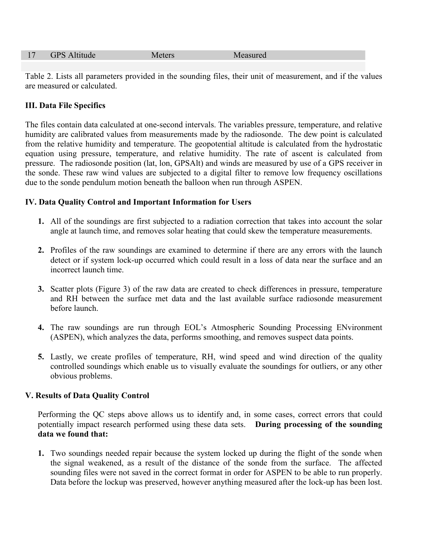| <b>GPS</b> Altitude<br>17<br>Measured<br>Meters |  |
|-------------------------------------------------|--|
|-------------------------------------------------|--|

Table 2. Lists all parameters provided in the sounding files, their unit of measurement, and if the values are measured or calculated.

## **III. Data File Specifics**

The files contain data calculated at one-second intervals. The variables pressure, temperature, and relative humidity are calibrated values from measurements made by the radiosonde. The dew point is calculated from the relative humidity and temperature. The geopotential altitude is calculated from the hydrostatic equation using pressure, temperature, and relative humidity. The rate of ascent is calculated from pressure. The radiosonde position (lat, lon, GPSAlt) and winds are measured by use of a GPS receiver in the sonde. These raw wind values are subjected to a digital filter to remove low frequency oscillations due to the sonde pendulum motion beneath the balloon when run through ASPEN.

## IV. Data Quality Control and Important Information for Users

- 1. All of the soundings are first subjected to a radiation correction that takes into account the solar angle at launch time, and removes solar heating that could skew the temperature measurements.
- 2. Profiles of the raw soundings are examined to determine if there are any errors with the launch detect or if system lock-up occurred which could result in a loss of data near the surface and an incorrect launch time.
- 3. Scatter plots (Figure 3) of the raw data are created to check differences in pressure, temperature and RH between the surface met data and the last available surface radiosonde measurement before launch.
- 4. The raw soundings are run through EOL's Atmospheric Sounding Processing ENvironment (ASPEN), which analyzes the data, performs smoothing, and removes suspect data points.
- 5. Lastly, we create profiles of temperature, RH, wind speed and wind direction of the quality controlled soundings which enable us to visually evaluate the soundings for outliers, or any other obvious problems.

## **V. Results of Data Quality Control**

Performing the QC steps above allows us to identify and, in some cases, correct errors that could potentially impact research performed using these data sets. During processing of the sounding data we found that:

1. Two soundings needed repair because the system locked up during the flight of the sonde when the signal weakened, as a result of the distance of the sonde from the surface. The affected sounding files were not saved in the correct format in order for ASPEN to be able to run properly. Data before the lockup was preserved, however anything measured after the lock-up has been lost.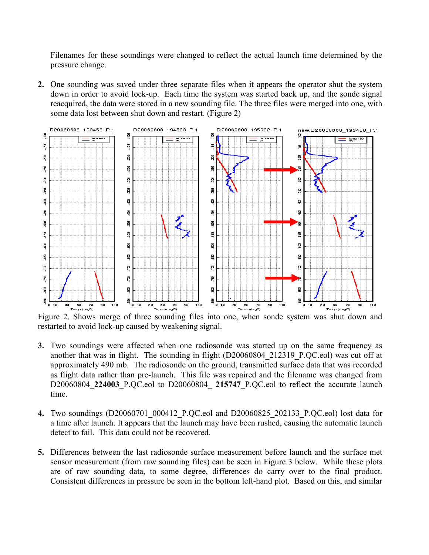Filenames for these soundings were changed to reflect the actual launch time determined by the pressure change.

2. One sounding was saved under three separate files when it appears the operator shut the system down in order to avoid lock-up. Each time the system was started back up, and the sonde signal reacquired, the data were stored in a new sounding file. The three files were merged into one, with some data lost between shut down and restart. (Figure 2)



Figure 2. Shows merge of three sounding files into one, when sonde system was shut down and restarted to avoid lock-up caused by weakening signal.

- 3. Two soundings were affected when one radiosonde was started up on the same frequency as another that was in flight. The sounding in flight (D20060804 212319 P.OC.eol) was cut off at approximately 490 mb. The radiosonde on the ground, transmitted surface data that was recorded as flight data rather than pre-launch. This file was repaired and the filename was changed from D20060804 224003 P.QC.eol to D20060804 215747 P.QC.eol to reflect the accurate launch time.
- 4. Two soundings (D20060701 000412 P.QC.eol and D20060825 202133 P.QC.eol) lost data for a time after launch. It appears that the launch may have been rushed, causing the automatic launch detect to fail. This data could not be recovered.
- 5. Differences between the last radiosonde surface measurement before launch and the surface met sensor measurement (from raw sounding files) can be seen in Figure 3 below. While these plots are of raw sounding data, to some degree, differences do carry over to the final product. Consistent differences in pressure be seen in the bottom left-hand plot. Based on this, and similar